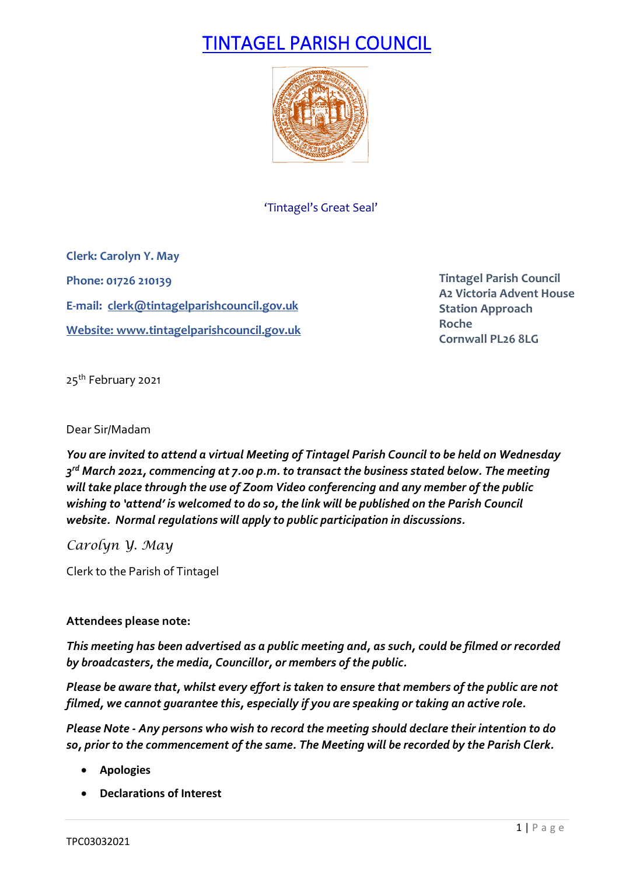# TINTAGEL PARISH COUNCIL



'Tintagel's Great Seal'

**Clerk: Carolyn Y. May Phone: 01726 210139 E-mail: [clerk@tintagelparishcouncil.gov.uk](mailto:clerk@tintagelparishcouncil.gov.uk) Website[: www.tintagelparishcouncil.gov.uk](http://www.tintagelparishcouncil.gov.uk/)**

**Tintagel Parish Council A2 Victoria Advent House Station Approach Roche Cornwall PL26 8LG**

25<sup>th</sup> February 2021

## Dear Sir/Madam

*You are invited to attend a virtual Meeting of Tintagel Parish Council to be held on Wednesday 3rd March 2021, commencing at 7.00 p.m. to transact the business stated below. The meeting will take place through the use of Zoom Video conferencing and any member of the public wishing to 'attend' is welcomed to do so, the link will be published on the Parish Council website. Normal regulations will apply to public participation in discussions.*

*Carolyn Y. May*

Clerk to the Parish of Tintagel

# **Attendees please note:**

*This meeting has been advertised as a public meeting and, as such, could be filmed or recorded by broadcasters, the media, Councillor, or members of the public.*

*Please be aware that, whilst every effort is taken to ensure that members of the public are not filmed, we cannot guarantee this, especially if you are speaking or taking an active role.*

*Please Note - Any persons who wish to record the meeting should declare their intention to do so, prior to the commencement of the same. The Meeting will be recorded by the Parish Clerk.*

- **Apologies**
- **Declarations of Interest**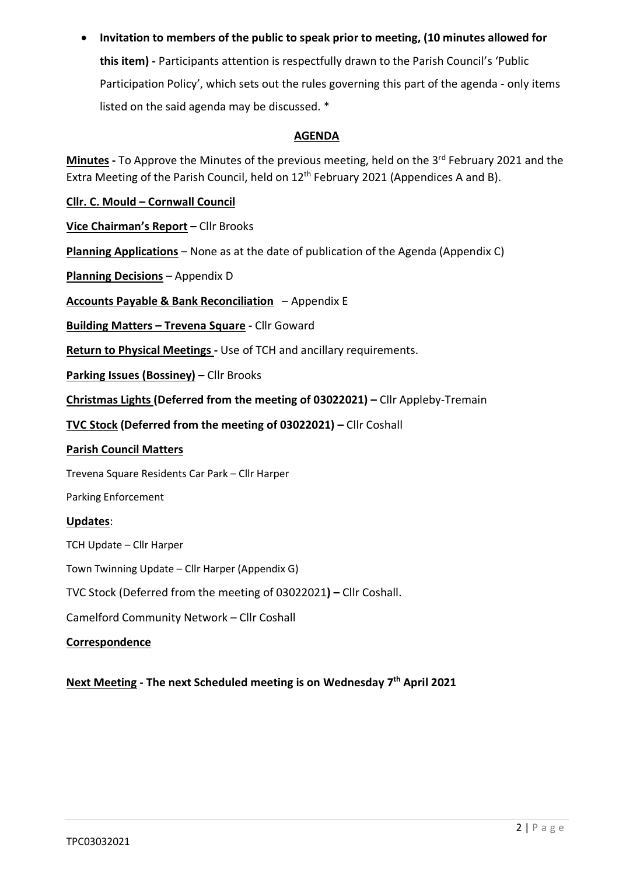• **Invitation to members of the public to speak prior to meeting, (10 minutes allowed for this item) -** Participants attention is respectfully drawn to the Parish Council's 'Public Participation Policy', which sets out the rules governing this part of the agenda - only items listed on the said agenda may be discussed. \*

# **AGENDA**

Minutes - To Approve the Minutes of the previous meeting, held on the 3<sup>rd</sup> February 2021 and the Extra Meeting of the Parish Council, held on  $12<sup>th</sup>$  February 2021 (Appendices A and B).

**Cllr. C. Mould – Cornwall Council**

**Vice Chairman's Report –** Cllr Brooks

**Planning Applications** – None as at the date of publication of the Agenda (Appendix C)

**Planning Decisions** – Appendix D

**Accounts Payable & Bank Reconciliation** – Appendix E

**Building Matters – Trevena Square -** Cllr Goward

**Return to Physical Meetings -** Use of TCH and ancillary requirements.

**Parking Issues (Bossiney) –** Cllr Brooks

**Christmas Lights (Deferred from the meeting of 03022021) –** Cllr Appleby-Tremain

**TVC Stock (Deferred from the meeting of 03022021) –** Cllr Coshall

## **Parish Council Matters**

Trevena Square Residents Car Park – Cllr Harper

Parking Enforcement

## **Updates**:

TCH Update – Cllr Harper

Town Twinning Update – Cllr Harper (Appendix G)

TVC Stock (Deferred from the meeting of 03022021**) –** Cllr Coshall.

Camelford Community Network – Cllr Coshall

## **Correspondence**

**Next Meeting - The next Scheduled meeting is on Wednesday 7th April 2021**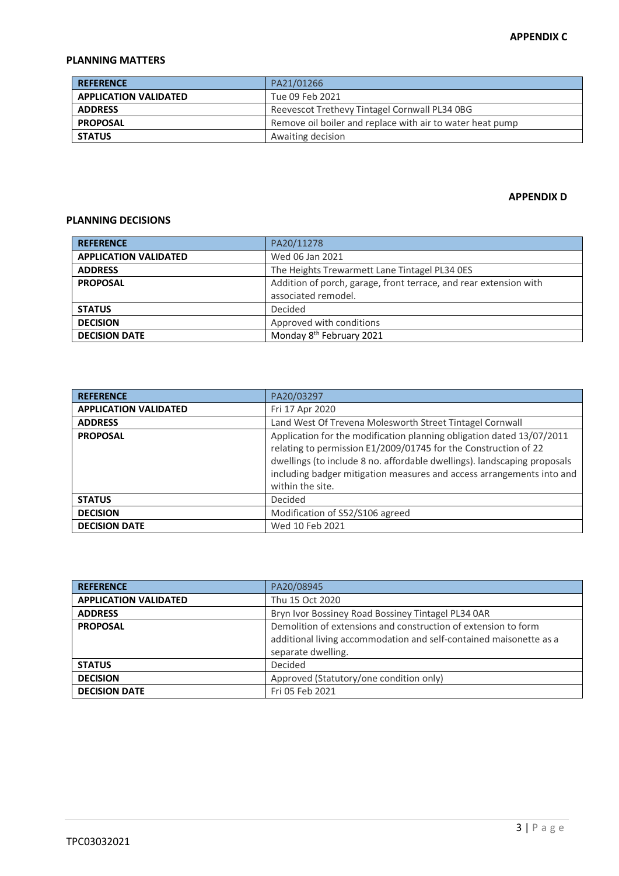## **PLANNING MATTERS**

| <b>REFERENCE</b>             | PA21/01266                                                |
|------------------------------|-----------------------------------------------------------|
| <b>APPLICATION VALIDATED</b> | Tue 09 Feb 2021                                           |
| <b>ADDRESS</b>               | Reevescot Trethevy Tintagel Cornwall PL34 0BG             |
| <b>PROPOSAL</b>              | Remove oil boiler and replace with air to water heat pump |
| <b>STATUS</b>                | Awaiting decision                                         |

#### **APPENDIX D**

#### **PLANNING DECISIONS**

| <b>REFERENCE</b>             | PA20/11278                                                        |
|------------------------------|-------------------------------------------------------------------|
| <b>APPLICATION VALIDATED</b> | Wed 06 Jan 2021                                                   |
| <b>ADDRESS</b>               | The Heights Trewarmett Lane Tintagel PL34 0ES                     |
| <b>PROPOSAL</b>              | Addition of porch, garage, front terrace, and rear extension with |
|                              | associated remodel.                                               |
| <b>STATUS</b>                | Decided                                                           |
| <b>DECISION</b>              | Approved with conditions                                          |
| <b>DECISION DATE</b>         | Monday 8 <sup>th</sup> February 2021                              |

| <b>REFERENCE</b>             | PA20/03297                                                                                                                                                                                                                                                                                                        |
|------------------------------|-------------------------------------------------------------------------------------------------------------------------------------------------------------------------------------------------------------------------------------------------------------------------------------------------------------------|
| <b>APPLICATION VALIDATED</b> | Fri 17 Apr 2020                                                                                                                                                                                                                                                                                                   |
| <b>ADDRESS</b>               | Land West Of Trevena Molesworth Street Tintagel Cornwall                                                                                                                                                                                                                                                          |
| <b>PROPOSAL</b>              | Application for the modification planning obligation dated 13/07/2011<br>relating to permission E1/2009/01745 for the Construction of 22<br>dwellings (to include 8 no. affordable dwellings). landscaping proposals<br>including badger mitigation measures and access arrangements into and<br>within the site. |
| <b>STATUS</b>                | Decided                                                                                                                                                                                                                                                                                                           |
| <b>DECISION</b>              | Modification of S52/S106 agreed                                                                                                                                                                                                                                                                                   |
| <b>DECISION DATE</b>         | Wed 10 Feb 2021                                                                                                                                                                                                                                                                                                   |

| <b>REFERENCE</b>             | PA20/08945                                                                                                                                                 |
|------------------------------|------------------------------------------------------------------------------------------------------------------------------------------------------------|
| <b>APPLICATION VALIDATED</b> | Thu 15 Oct 2020                                                                                                                                            |
| <b>ADDRESS</b>               | Bryn Ivor Bossiney Road Bossiney Tintagel PL34 0AR                                                                                                         |
| <b>PROPOSAL</b>              | Demolition of extensions and construction of extension to form<br>additional living accommodation and self-contained maisonette as a<br>separate dwelling. |
| <b>STATUS</b>                | Decided                                                                                                                                                    |
| <b>DECISION</b>              | Approved (Statutory/one condition only)                                                                                                                    |
| <b>DECISION DATE</b>         | Fri 05 Feb 2021                                                                                                                                            |